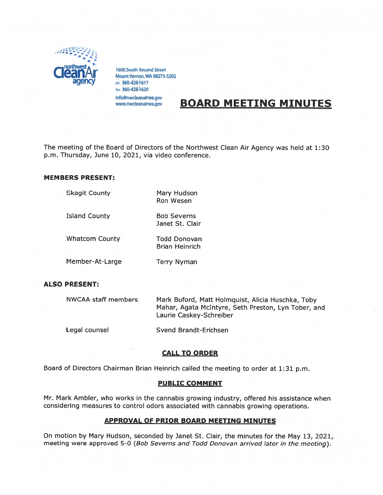

1600 South Second Street<br>Mount Vernon, WA 98273-5202 ph 360-428-1617 fax 360-428-1620 info@nwcleanalrwa.gov

www.nwcleanairwa.gov

# BOARD MEETING MINUTES

The meeting of the Board of Directors of the Northwest Clean Air Agency was held at 1:30 p.m. Thursday, June 10, 2021, via video conference.

#### MEMBERS PRESENT:

| <b>Skagit County</b>  | Mary Hudson<br><b>Ron Wesen</b>       |
|-----------------------|---------------------------------------|
| <b>Island County</b>  | <b>Bob Severns</b><br>Janet St. Clair |
| <b>Whatcom County</b> | Todd Donovan<br><b>Brian Heinrich</b> |
| Member-At-Large       | <b>Terry Nyman</b>                    |

## ALSO PRESENT:

| <b>NWCAA staff members</b> | Mark Buford, Matt Holmquist, Alicia Huschka, Toby<br>Mahar, Agata McIntyre, Seth Preston, Lyn Tober, and<br>Laurie Caskey-Schreiber |  |
|----------------------------|-------------------------------------------------------------------------------------------------------------------------------------|--|
| Legal counsel              | Svend Brandt-Erichsen                                                                                                               |  |

## **CALL TO ORDER**

Board of Directors Chairman Brian Heinrich called the meeting to order at 1:31 p.m.

#### PUBLIC COMMENT

Mr. Mark Ambler, who works in the cannabis growing industry, offered his assistance when considering measures to control odors associated with cannabis growing operations.

## APPROVAL OF PRIOR BOARD MEETING MINUTES

On motion by Mary Hudson, seconded by Janet St. Clair, the minutes for the May 13, 2021, meeting were approve<sup>d</sup> 5-0 (Bob Severns and Todd Donovan arrived later in the meeting).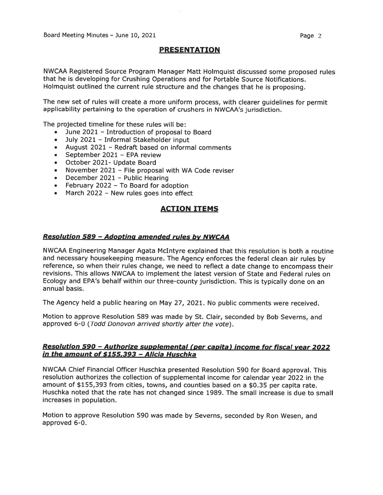#### **PRESENTATION**

NWCAA Registered Source Program Manager Matt Holmquist discussed some propose<sup>d</sup> rules that he is developing for Crushing Operations and for Portable Source Notifications. Holmquist outlined the current rule structure and the changes that he is proposing.

The new set of rules will create <sup>a</sup> more uniform process, with clearer guidelines for permit applicability pertaining to the operation of crushers in NWCAA's jurisdiction.

The projected timeline for these rules will be:

- $\bullet$ June 2021 — Introduction of proposal to Board
- •July 2021 — Informal Stakeholder input
- •August 2021 — Redraft based on informal comments
- •September 2021 — EPA review
- October 2021- Update Board
- •November 2021 — File proposal with WA Code reviser
- •December 2021 — Public Hearing
- February 2022 To Board for adoption
- •March 2022 — New rules goes into effect

## ACTION ITEMS

#### **Resolution 589 - Adopting amended rules by NWCAA**

NWCAA Engineering Manager Agata McIntyre explained that this resolution is both <sup>a</sup> routine and necessary housekeeping measure. The Agency enforces the federal clean air rules by reference, so when their rules change, we need to reflect <sup>a</sup> date change to encompass their revisions. This allows NWCAA to implement the latest version of State and Federal rules on Ecology and EPA's behalf within our three-county jurisdiction. This is typically done on an annual basis.

The Agency held <sup>a</sup> public hearing on May 27, 2021. No public comments were received.

Motion to approve Resolution <sup>589</sup> was made by St. Clair, seconded by Bob Severns, and approved 6-0 (Todd Donovon arrived shortly after the vote).

#### Resolution 590 - Authorize supplemental (per capita) income for fiscal year 2022 in the amount of \$155,393 - Alicia Huschka

NWCAA Chief Financial Officer Huschka presented Resolution <sup>590</sup> for Board approval. This resolution authorizes the collection of supplemental income for calendar year <sup>2022</sup> in the amount of \$155,393 from cities, towns, and counties based on <sup>a</sup> \$0.35 per capita rate. Huschka noted that the rate has not changed since 1989. The small increase is due to small increases in population.

Motion to approve Resolution <sup>590</sup> was made by Severns, seconded by Ron Wesen, and approved 6-0.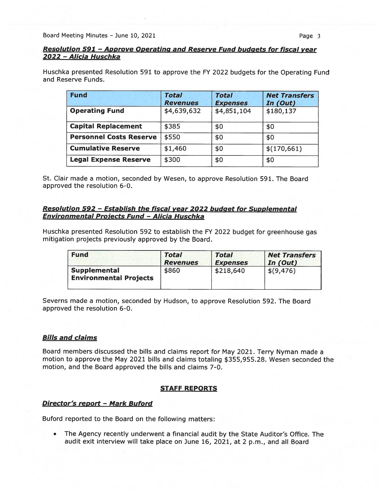Board Meeting Minutes – June 10, 2021 **Page 3** 

# Resolution 591 - Approve Operating and Reserve Fund budgets for fiscal year 2022 -Alicia Huschka

Huschka presented Resolution 591 to approve the FY 2022 budgets for the Operating Fund and Reserve Funds.

| <b>Fund</b>                    | <b>Total</b><br><b>Revenues</b> | <b>Total</b><br><b>Expenses</b> | <b>Net Transfers</b><br>In (Out) |
|--------------------------------|---------------------------------|---------------------------------|----------------------------------|
| <b>Operating Fund</b>          | \$4,639,632                     | \$4,851,104                     | \$180,137                        |
| <b>Capital Replacement</b>     | \$385                           | \$0                             | \$0                              |
| <b>Personnel Costs Reserve</b> | \$550                           | \$0                             | \$0                              |
| <b>Cumulative Reserve</b>      | \$1,460                         | \$0                             | \$(170,661)                      |
| <b>Legal Expense Reserve</b>   | \$300                           | \$0                             | \$0                              |

St. Clair made <sup>a</sup> motion, seconded by Wesen, to approve Resolution 591. The Board approved the resolution 6-0.

## Resolution 592 - Establish the fiscal year 2022 budget for Supplemental Environmental Projects Fund — Alicia Huschka

Huschka presented Resolution <sup>592</sup> to establish the FY <sup>2022</sup> budget for greenhouse gas mitigation projects previously approved by the Board.

| <b>Fund</b>                                          | <b>Total</b>    | <b>Total</b>    | <b>Net Transfers</b> |
|------------------------------------------------------|-----------------|-----------------|----------------------|
|                                                      | <b>Revenues</b> | <b>Expenses</b> | In (Out)             |
| <b>Supplemental</b><br><b>Environmental Projects</b> | \$860           | \$218,640       | \$(9, 476)           |

Severns made <sup>a</sup> motion, seconded by Hudson, to approve Resolution 592. The Board approved the resolution 6-0.

## **Bills and claims**

Board members discussed the bills and claims repor<sup>t</sup> for May 2021. Terry Nyman made <sup>a</sup> motion to approve the May 2021 bills and claims totaling \$355,955.28. Wesen seconded the motion, and the Board approved the bills and claims 7-0.

## STAFF REPORTS

## Director's repor<sup>t</sup> — Mark Buford

Buford reported to the Board on the following matters:

• The Agency recently underwent <sup>a</sup> financial audit by the State Auditor's Office. The audit exit interview will take <sup>p</sup>lace on June 16, 2021, at <sup>2</sup> p.m., and all Board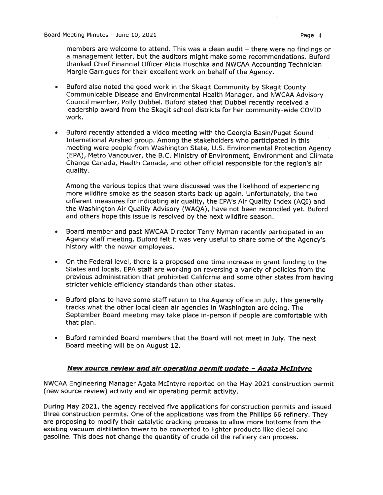Board Meeting Minutes – June 10, 2021 **Page 4** 

members are welcome to attend. This was <sup>a</sup> clean audit — there were no findings or <sup>a</sup> managemen<sup>t</sup> letter, but the auditors might make some recommendations. Buford thanked Chief Financial Officer Alicia Huschka and NWCAA Accounting Technician Margie Garrigues for their excellent work on behalf of the Agency.

- • Buford also noted the goo<sup>d</sup> work in the Skagit Community by Skagit County Communicable Disease and Environmental Health Manager, and NWCAA Advisory Council member, Polly Dubbel. Buford stated that Dubbel recently received <sup>a</sup> leadership award from the Skagit school districts for her community-wide COVID work.
- • Buford recently attended <sup>a</sup> video meeting with the Georgia Basin/Puget Sound International Airshed group. Among the stakeholders who participated in this meeting were people from Washington State, U.S. Environmental Protection Agency (EPA), Metro Vancouver, the B.C. Ministry of Environment, Environment and Climate Change Canada, Health Canada, and other official responsible for the region's air quality.

Among the various topics that were discussed was the likelihood of experiencing more wildfire smoke as the season starts back up again. Unfortunately, the two different measures for indicating air quality, the EPA's Air Quality Index (AQI) and the Washington Air Quality Advisory (WAQA), have not been reconciled yet. Buford and others hope this issue is resolved by the next wildfire season.

- • Board member and pas<sup>t</sup> NWCAA Director Terry Nyman recently participated in an Agency staff meeting. Buford felt it was very useful to share some of the Agency's history with the newer employees.
- • On the Federal level, there is <sup>a</sup> proposed one-time increase in gran<sup>t</sup> funding to the States and locals. EPA staff are working on reversing <sup>a</sup> variety of policies from the previous administration that prohibited California and some other states from having stricter vehicle efficiency standards than other states.
- • Buford <sup>p</sup>lans to have some staff return to the Agency office in July. This generally tracks what the other local clean air agencies in Washington are doing. The September Board meeting may take place in-person if people are comfortable with that plan.
- • Buford reminded Board members that the Board will not meet in July. The next Board meeting will be on August 12.

#### New source review and air operating permit undate — Aaata McIntyre

NWCAA Engineering Manager Agata McIntyre reported on the May <sup>2021</sup> construction permit (new source review) activity and air operating permit activity.

During May 2021, the agency received five applications for construction permits and issued three construction permits. One of the applications was from the Phillips <sup>66</sup> refinery. They are proposing to modify their catalytic cracking process to allow more bottoms from the existing vacuum distillation tower to be converted to lighter products like diesel and gasoline. This does not change the quantity of crude oil the refinery can process.